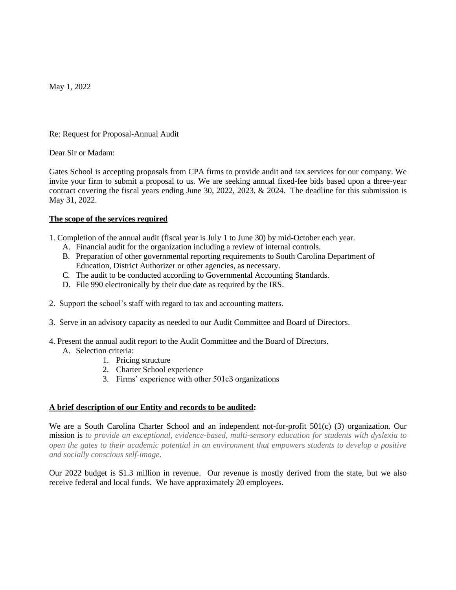May 1, 2022

Re: Request for Proposal-Annual Audit

Dear Sir or Madam:

Gates School is accepting proposals from CPA firms to provide audit and tax services for our company. We invite your firm to submit a proposal to us. We are seeking annual fixed-fee bids based upon a three-year contract covering the fiscal years ending June 30, 2022, 2023, & 2024. The deadline for this submission is May 31, 2022.

# **The scope of the services required**

1. Completion of the annual audit (fiscal year is July 1 to June 30) by mid-October each year.

- A. Financial audit for the organization including a review of internal controls.
- B. Preparation of other governmental reporting requirements to South Carolina Department of Education, District Authorizer or other agencies, as necessary.
- C. The audit to be conducted according to Governmental Accounting Standards.
- D. File 990 electronically by their due date as required by the IRS.
- 2. Support the school's staff with regard to tax and accounting matters.
- 3. Serve in an advisory capacity as needed to our Audit Committee and Board of Directors.
- 4. Present the annual audit report to the Audit Committee and the Board of Directors.
	- A. Selection criteria:
		- 1. Pricing structure
		- 2. Charter School experience
		- 3. Firms' experience with other 501c3 organizations

# **A brief description of our Entity and records to be audited:**

We are a South Carolina Charter School and an independent not-for-profit 501(c) (3) organization. Our mission is *to provide an exceptional, evidence-based, multi-sensory education for students with dyslexia to open the gates to their academic potential in an environment that empowers students to develop a positive and socially conscious self-image.*

Our 2022 budget is \$1.3 million in revenue. Our revenue is mostly derived from the state, but we also receive federal and local funds. We have approximately 20 employees.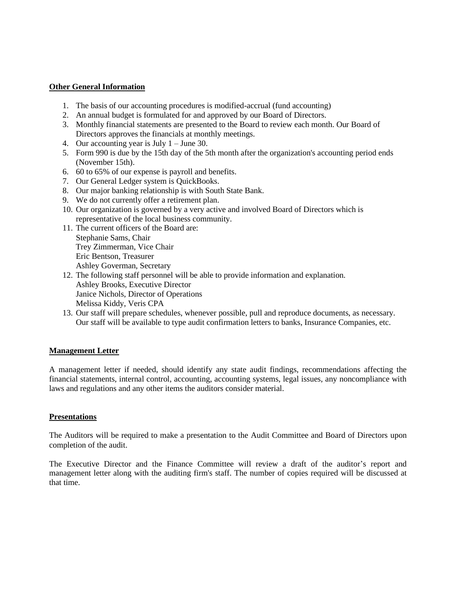## **Other General Information**

- 1. The basis of our accounting procedures is modified-accrual (fund accounting)
- 2. An annual budget is formulated for and approved by our Board of Directors.
- 3. Monthly financial statements are presented to the Board to review each month. Our Board of Directors approves the financials at monthly meetings.
- 4. Our accounting year is July  $1 -$  June 30.
- 5. Form 990 is due by the 15th day of the 5th month after the organization's accounting period ends (November 15th).
- 6. 60 to 65% of our expense is payroll and benefits.
- 7. Our General Ledger system is QuickBooks.
- 8. Our major banking relationship is with South State Bank.
- 9. We do not currently offer a retirement plan.
- 10. Our organization is governed by a very active and involved Board of Directors which is representative of the local business community.
- 11. The current officers of the Board are: Stephanie Sams, Chair Trey Zimmerman, Vice Chair Eric Bentson, Treasurer Ashley Goverman, Secretary
- 12. The following staff personnel will be able to provide information and explanation. Ashley Brooks, Executive Director Janice Nichols, Director of Operations Melissa Kiddy, Veris CPA
- 13. Our staff will prepare schedules, whenever possible, pull and reproduce documents, as necessary. Our staff will be available to type audit confirmation letters to banks, Insurance Companies, etc.

#### **Management Letter**

A management letter if needed, should identify any state audit findings, recommendations affecting the financial statements, internal control, accounting, accounting systems, legal issues, any noncompliance with laws and regulations and any other items the auditors consider material.

#### **Presentations**

The Auditors will be required to make a presentation to the Audit Committee and Board of Directors upon completion of the audit.

The Executive Director and the Finance Committee will review a draft of the auditor's report and management letter along with the auditing firm's staff. The number of copies required will be discussed at that time.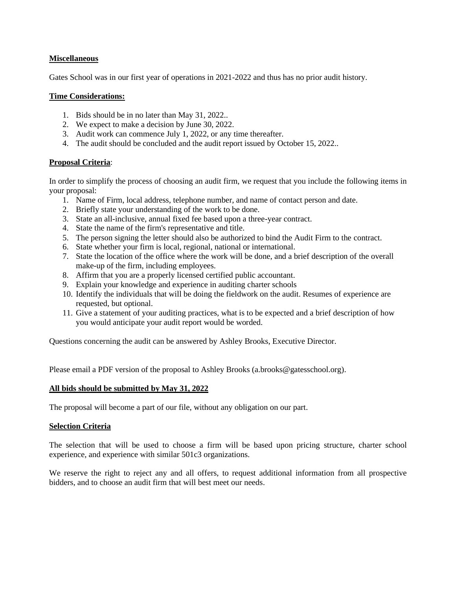## **Miscellaneous**

Gates School was in our first year of operations in 2021-2022 and thus has no prior audit history.

## **Time Considerations:**

- 1. Bids should be in no later than May 31, 2022..
- 2. We expect to make a decision by June 30, 2022.
- 3. Audit work can commence July 1, 2022, or any time thereafter.
- 4. The audit should be concluded and the audit report issued by October 15, 2022..

#### **Proposal Criteria**:

In order to simplify the process of choosing an audit firm, we request that you include the following items in your proposal:

- 1. Name of Firm, local address, telephone number, and name of contact person and date.
- 2. Briefly state your understanding of the work to be done.
- 3. State an all-inclusive, annual fixed fee based upon a three-year contract.
- 4. State the name of the firm's representative and title.
- 5. The person signing the letter should also be authorized to bind the Audit Firm to the contract.
- 6. State whether your firm is local, regional, national or international.
- 7. State the location of the office where the work will be done, and a brief description of the overall make-up of the firm, including employees.
- 8. Affirm that you are a properly licensed certified public accountant.
- 9. Explain your knowledge and experience in auditing charter schools
- 10. Identify the individuals that will be doing the fieldwork on the audit. Resumes of experience are requested, but optional.
- 11. Give a statement of your auditing practices, what is to be expected and a brief description of how you would anticipate your audit report would be worded.

Questions concerning the audit can be answered by Ashley Brooks, Executive Director.

Please email a PDF version of the proposal to Ashley Brooks (a.brooks@gatesschool.org).

#### **All bids should be submitted by May 31, 2022**

The proposal will become a part of our file, without any obligation on our part.

# **Selection Criteria**

The selection that will be used to choose a firm will be based upon pricing structure, charter school experience, and experience with similar 501c3 organizations.

We reserve the right to reject any and all offers, to request additional information from all prospective bidders, and to choose an audit firm that will best meet our needs.